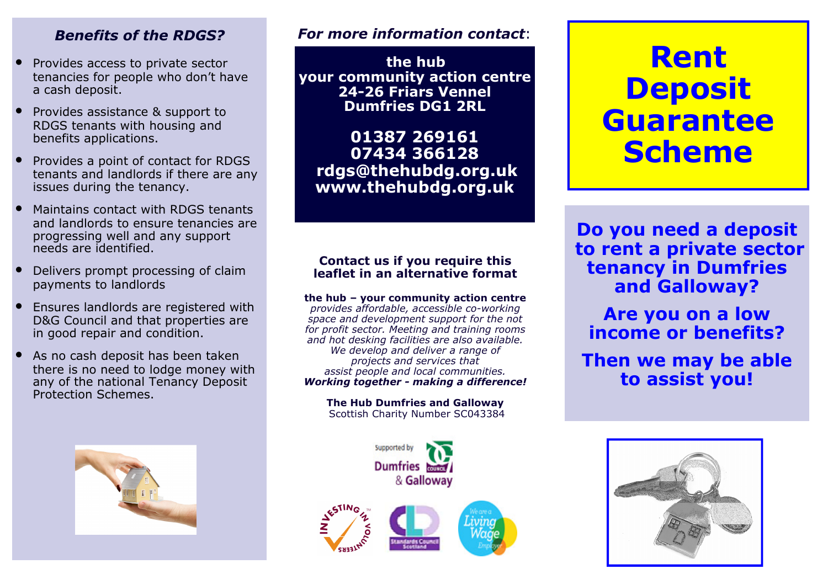#### Benefits of the RDGS?

- Provides access to private sector tenancies for people who don't have a cash deposit.
- Provides assistance & support to RDGS tenants with housing and benefits applications.
- Provides a point of contact for RDGS tenants and landlords if there are any issues during the tenancy.
- Maintains contact with RDGS tenants and landlords to ensure tenancies are progressing well and any support needs are identified.
- Delivers prompt processing of claim payments to landlords
- Ensures landlords are registered with D&G Council and that properties are in good repair and condition.
- As no cash deposit has been taken there is no need to lodge money with any of the national Tenancy Deposit Protection Schemes.



#### For more information contact:

the hub your community action centre 24-26 Friars Vennel Dumfries DG1 2RL

01387 269161 07434 366128 rdgs@thehubdg.org.uk www.thehubdg.org.uk

## Contact us if you require this leaflet in an alternative format

#### the hub – your community action centre

provides affordable, accessible co-working space and development support for the not for profit sector. Meeting and training rooms and hot desking facilities are also available. We develop and deliver a range of projects and services that assist people and local communities.Working together - making a difference!

The Hub Dumfries and Galloway Scottish Charity Number SC043384



# Rent Deposit Guarantee **Scheme**

Do you need a deposit to rent a private sector tenancy in Dumfries and Galloway?

Are you on a low income or benefits?

Then we may be able to assist you!